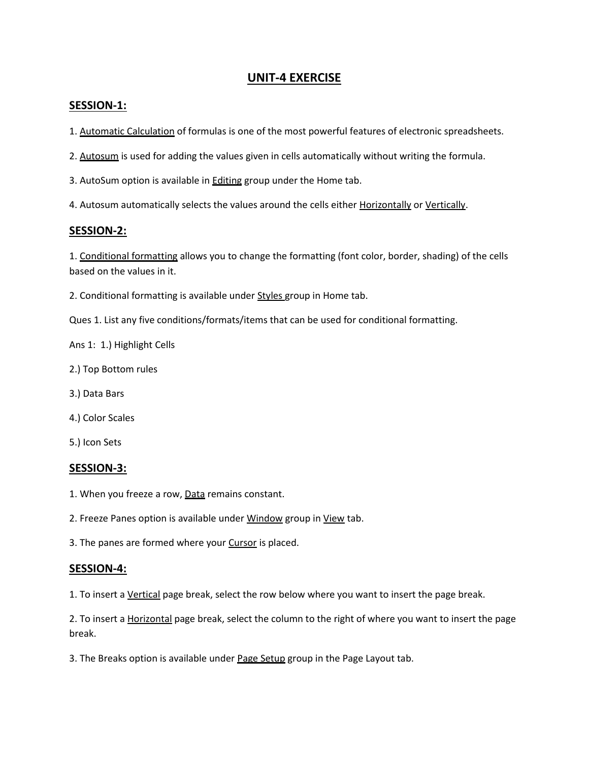# **UNIT-4 EXERCISE**

#### **SESSION-1:**

- 1. Automatic Calculation of formulas is one of the most powerful features of electronic spreadsheets.
- 2. Autosum is used for adding the values given in cells automatically without writing the formula.
- 3. AutoSum option is available in Editing group under the Home tab.
- 4. Autosum automatically selects the values around the cells either Horizontally or Vertically.

#### **SESSION-2:**

1. Conditional formatting allows you to change the formatting (font color, border, shading) of the cells based on the values in it.

2. Conditional formatting is available under Styles group in Home tab.

Ques 1. List any five conditions/formats/items that can be used for conditional formatting.

Ans 1: 1.) Highlight Cells

- 2.) Top Bottom rules
- 3.) Data Bars
- 4.) Color Scales
- 5.) Icon Sets

#### **SESSION-3:**

- 1. When you freeze a row, Data remains constant.
- 2. Freeze Panes option is available under Window group in View tab.
- 3. The panes are formed where your Cursor is placed.

#### **SESSION-4:**

1. To insert a Vertical page break, select the row below where you want to insert the page break.

2. To insert a **Horizontal page break**, select the column to the right of where you want to insert the page break.

3. The Breaks option is available under Page Setup group in the Page Layout tab.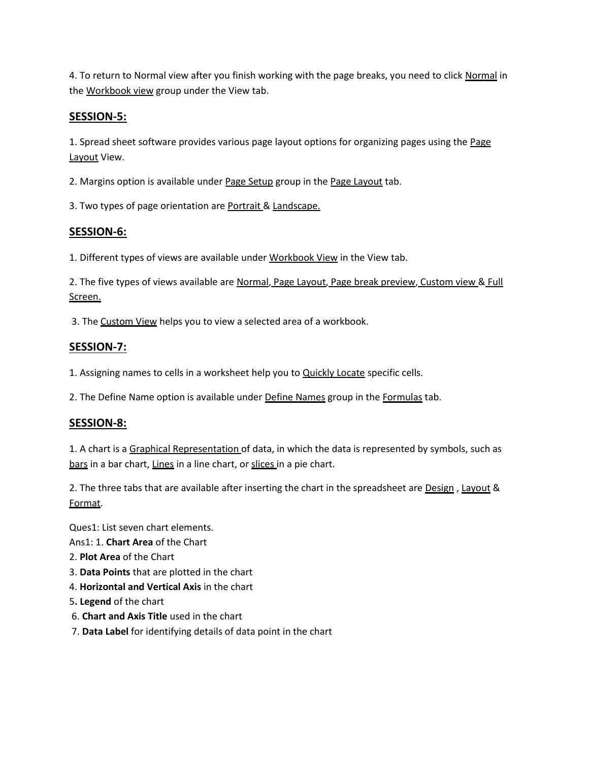4. To return to Normal view after you finish working with the page breaks, you need to click Normal in the Workbook view group under the View tab.

## **SESSION-5:**

1. Spread sheet software provides various page layout options for organizing pages using the Page Layout View.

2. Margins option is available under Page Setup group in the Page Layout tab.

3. Two types of page orientation are Portrait & Landscape.

### **SESSION-6:**

1. Different types of views are available under Workbook View in the View tab.

2. The five types of views available are Normal, Page Layout, Page break preview, Custom view & Full Screen.

3. The Custom View helps you to view a selected area of a workbook.

## **SESSION-7:**

1. Assigning names to cells in a worksheet help you to **Quickly Locate** specific cells.

2. The Define Name option is available under Define Names group in the Formulas tab.

### **SESSION-8:**

1. A chart is a Graphical Representation of data, in which the data is represented by symbols, such as bars in a bar chart, Lines in a line chart, or slices in a pie chart.

2. The three tabs that are available after inserting the chart in the spreadsheet are **Design**, Layout & Format.

Ques1: List seven chart elements.

Ans1: 1. **Chart Area** of the Chart

- 2. **Plot Area** of the Chart
- 3. **Data Points** that are plotted in the chart
- 4. **Horizontal and Vertical Axis** in the chart
- 5**. Legend** of the chart
- 6. **Chart and Axis Title** used in the chart
- 7. **Data Label** for identifying details of data point in the chart